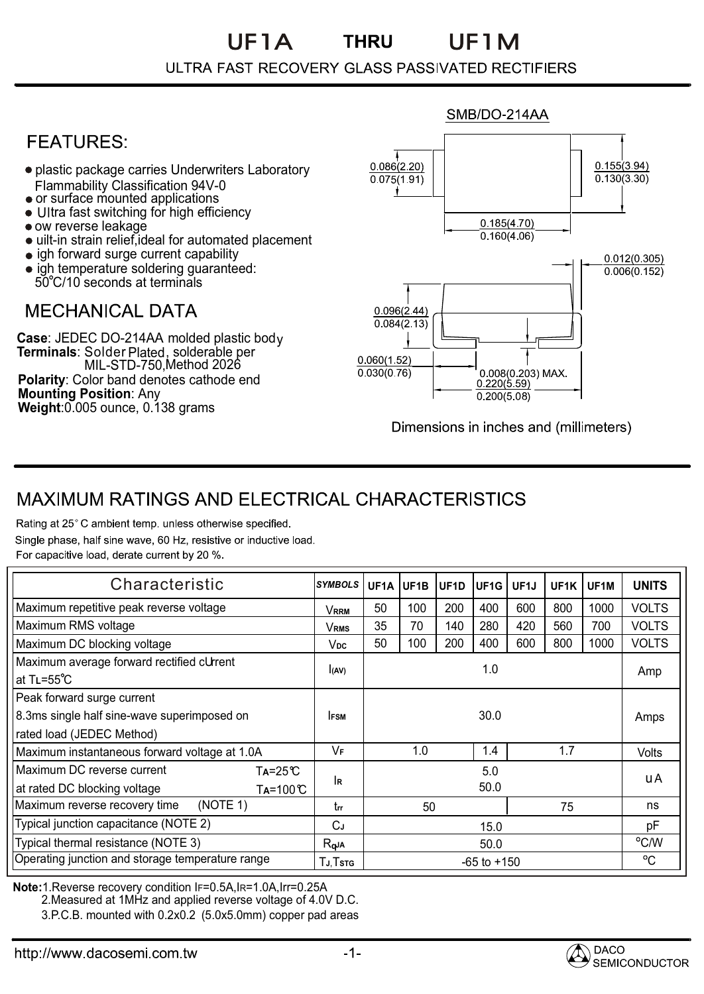# UF1A UF1M

#### ULTRA FAST RECOVERY GLASS PASSIVATED RECTIFIERS

### **FFATURFS:**

- plastic package carries Underwriters Laboratory Flammability Classification 94V-0
- or surface mounted applications
- Ultra fast switching for high efficiency
- ow reverse leakage
- uilt-in strain relief,ideal for automated placement
- igh forward surge current capability
- igh temperature soldering guaranteed: 50 C/10 seconds at terminals

### **MFCHANICAI DATA**

**Case**: JEDEC DO-214AA molded plastic body **Terminals**: MIL-STD-750,Method 2026 **Polarity**: Color band denotes cathode end **Mounting Position**: Any **Weight**:0.005 ounce, 0.138 grams Solder Plated, solderable per



Dimensions in inches and (millimeters)

## **MAXIMUM RATINGS AND ELECTRICAL CHARACTERISTICS**

Rating at 25°C ambient temp. unless otherwise specified. Single phase, half sine wave, 60 Hz, resistive or inductive load. For capacitive load, derate current by 20 %.

| Characteristic                                                                                          | <b>SYMBOLS</b> |                 | UF1A UF1B | UF1D | UF <sub>1G</sub> | UF <sub>1</sub> J | UF1K | UF <sub>1</sub> M | <b>UNITS</b> |
|---------------------------------------------------------------------------------------------------------|----------------|-----------------|-----------|------|------------------|-------------------|------|-------------------|--------------|
| Maximum repetitive peak reverse voltage                                                                 | <b>VRRM</b>    | 50              | 100       | 200  | 400              | 600               | 800  | 1000              | <b>VOLTS</b> |
| Maximum RMS voltage                                                                                     | VRMS           | 35              | 70        | 140  | 280              | 420               | 560  | 700               | <b>VOLTS</b> |
| Maximum DC blocking voltage                                                                             | Vpc            | 50              | 100       | 200  | 400              | 600               | 800  | 1000              | <b>VOLTS</b> |
| Maximum average forward rectified cUrrent<br>at $TL = 55^{\circ}C$                                      | I(AV)          |                 |           |      | 1.0              |                   |      |                   | Amp          |
| Peak forward surge current<br>8.3ms single half sine-wave superimposed on<br>rated load (JEDEC Method)  | <b>IFSM</b>    |                 |           |      | 30.0             |                   |      |                   | Amps         |
| Maximum instantaneous forward voltage at 1.0A                                                           | VF             |                 | 1.0       |      | 1.4              |                   | 1.7  |                   | Volts        |
| Maximum DC reverse current<br>$Ta = 25^\circ C$<br>at rated DC blocking voltage<br>$Ta=100 \mathcal{C}$ | <b>IR</b>      |                 |           |      | 5.0<br>50.0      |                   |      |                   | uA           |
| Maximum reverse recovery time<br>(NOTE 1)                                                               | trr            |                 | 50        |      |                  |                   | 75   |                   | ns           |
| Typical junction capacitance (NOTE 2)                                                                   | СJ             | 15.0            |           |      |                  |                   |      | рF                |              |
| Typical thermal resistance (NOTE 3)                                                                     | $R_{q}$ JA     | 50.0            |           |      |                  |                   |      | °C/W              |              |
| Operating junction and storage temperature range                                                        | TJ, Tstg       | $-65$ to $+150$ |           |      |                  |                   |      |                   | $^{\circ}$ C |

**Note:**1.Reverse recovery condition IF=0.5A,IR=1.0A,Irr=0.25A

2.Measured at 1MHz and applied reverse voltage of 4.0V D.C.

3.P.C.B. mounted with 0.2x0.2 (5.0x5.0mm) copper pad areas